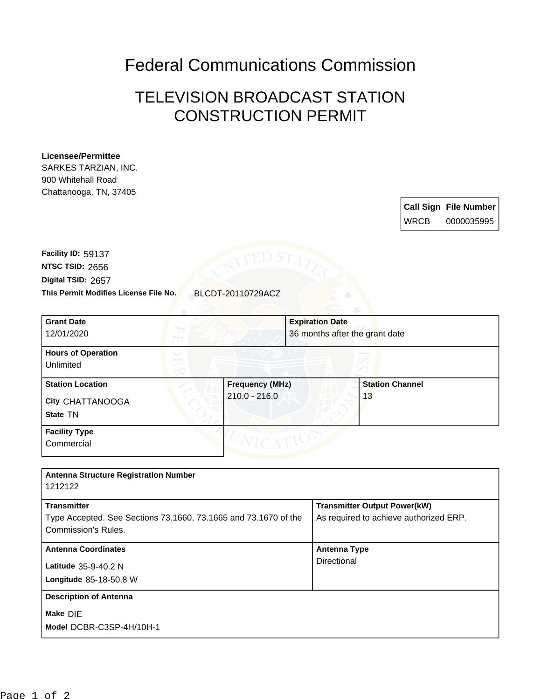Federal Communications Commission

## TELEVISION BROADCAST STATION CONSTRUCTION PERMIT

## **Licensee/Permittee**

SARKES TARZIAN, INC. 900 Whitehall Road Chattanooga, TN, 37405

> **Call Sign File Number** WRCB 0000035995

**This Permit Modifies License File No.** BLCDT-20110729ACZ **Digital TSID:** 2657 **NTSC TSID:** 2656 **Facility ID:** 59137

| <b>Grant Date</b><br>12/01/2020                         |                                           | <b>Expiration Date</b><br>36 months after the grant date |
|---------------------------------------------------------|-------------------------------------------|----------------------------------------------------------|
| <b>Hours of Operation</b><br>Unlimited                  |                                           |                                                          |
| <b>Station Location</b><br>City CHATTANOOGA<br>State TN | <b>Frequency (MHz)</b><br>$210.0 - 216.0$ | <b>Station Channel</b><br>13                             |
| <b>Facility Type</b><br>Commercial                      |                                           |                                                          |

| <b>Antenna Structure Registration Number</b><br>1212122                                                      |                                                                               |  |  |
|--------------------------------------------------------------------------------------------------------------|-------------------------------------------------------------------------------|--|--|
| <b>Transmitter</b><br>Type Accepted. See Sections 73.1660, 73.1665 and 73.1670 of the<br>Commission's Rules. | <b>Transmitter Output Power(kW)</b><br>As required to achieve authorized ERP. |  |  |
| <b>Antenna Coordinates</b><br>Latitude 35-9-40.2 N<br>Longitude 85-18-50.8 W                                 | <b>Antenna Type</b><br>Directional                                            |  |  |
| <b>Description of Antenna</b><br>Make DIE<br>Model DCBR-C3SP-4H/10H-1                                        |                                                                               |  |  |